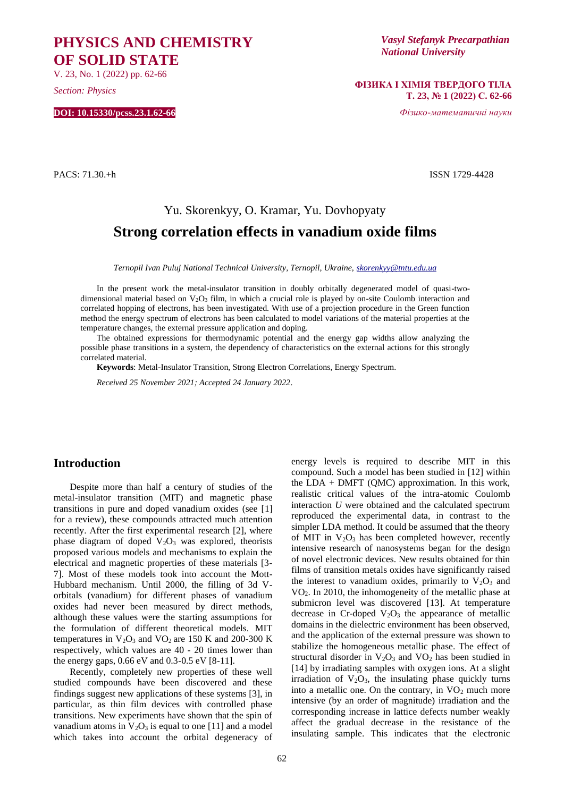# **PHYSICS AND CHEMISTRY OF SOLID STATE**

V. 23, No. 1 (2022) pp. 62-66

*Section: Physics*

**DOI: 10.15330/pcss.23.1.62-66**

*Vasyl Stefanyk Precarpathian National University*

**ФІЗИКА І ХІМІЯ ТВЕРДОГО ТІЛА Т. 23, № 1 (2022) С. 62-66**

*Фізико-математичні науки*

PACS: 71.30.+h ISSN 1729-4428

# Yu. Skorenkyy, O. Kramar, Yu. Dovhopyaty **Strong correlation effects in vanadium oxide films**

*Ternopil Ivan Puluj National Technical University, Ternopil, Ukraine, [skorenkyy@tntu.edu.ua](mailto:v.kramar@chnu.edu.ua)*

In the present work the metal-insulator transition in doubly orbitally degenerated model of quasi-twodimensional material based on V<sub>2</sub>O<sub>3</sub> film, in which a crucial role is played by on-site Coulomb interaction and correlated hopping of electrons, has been investigated. With use of a projection procedure in the Green function method the energy spectrum of electrons has been calculated to model variations of the material properties at the temperature changes, the external pressure application and doping.

The obtained expressions for thermodynamic potential and the energy gap widths allow analyzing the possible phase transitions in a system, the dependency of characteristics on the external actions for this strongly correlated material.

**Keywords**: Metal-Insulator Transition, Strong Electron Correlations, Energy Spectrum.

*Received 25 November 2021; Accepted 24 January 2022*.

## **Introduction**

Despite more than half a century of studies of the metal-insulator transition (MIT) and magnetic phase transitions in pure and doped vanadium oxides (see [1] for a review), these compounds attracted much attention recently. After the first experimental research [2], where phase diagram of doped  $V_2O_3$  was explored, theorists proposed various models and mechanisms to explain the electrical and magnetic properties of these materials [3- 7]. Most of these models took into account the Mott-Hubbard mechanism. Until 2000, the filling of 3d Vorbitals (vanadium) for different phases of vanadium oxides had never been measured by direct methods, although these values were the starting assumptions for the formulation of different theoretical models. MIT temperatures in  $V_2O_3$  and  $VO_2$  are 150 K and 200-300 K respectively, which values are 40 - 20 times lower than the energy gaps, 0.66 eV and 0.3-0.5 eV [8-11].

Recently, completely new properties of these well studied compounds have been discovered and these findings suggest new applications of these systems [3], in particular, as thin film devices with controlled phase transitions. New experiments have shown that the spin of vanadium atoms in  $V_2O_3$  is equal to one [11] and a model which takes into account the orbital degeneracy of energy levels is required to describe MIT in this compound. Such a model has been studied in [12] within the  $LDA + DMFT$  (OMC) approximation. In this work, realistic critical values of the intra-atomic Coulomb interaction *U* were obtained and the calculated spectrum reproduced the experimental data, in contrast to the simpler LDA method. It could be assumed that the theory of MIT in  $V_2O_3$  has been completed however, recently intensive research of nanosystems began for the design of novel electronic devices. New results obtained for thin films of transition metals oxides have significantly raised the interest to vanadium oxides, primarily to  $V_2O_3$  and VO2. In 2010, the inhomogeneity of the metallic phase at submicron level was discovered [13]. At temperature decrease in Cr-doped  $V_2O_3$  the appearance of metallic domains in the dielectric environment has been observed, and the application of the external pressure was shown to stabilize the homogeneous metallic phase. The effect of structural disorder in  $V_2O_3$  and  $VO_2$  has been studied in [14] by irradiating samples with oxygen ions. At a slight irradiation of  $V_2O_3$ , the insulating phase quickly turns into a metallic one. On the contrary, in  $VO<sub>2</sub>$  much more intensive (by an order of magnitude) irradiation and the corresponding increase in lattice defects number weakly affect the gradual decrease in the resistance of the insulating sample. This indicates that the electronic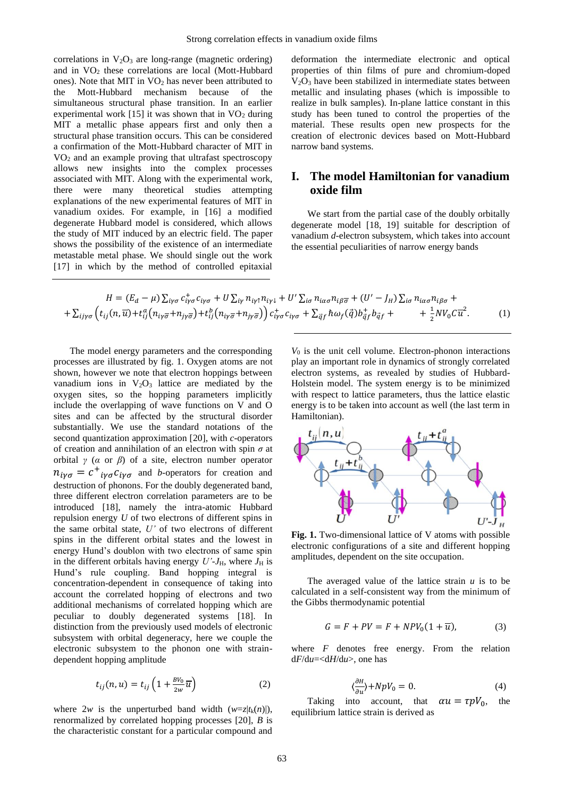correlations in  $V_2O_3$  are long-range (magnetic ordering) and in VO<sup>2</sup> these correlations are local (Mott-Hubbard ones). Note that MIT in  $VO<sub>2</sub>$  has never been attributed to the Mott-Hubbard mechanism because of the simultaneous structural phase transition. In an earlier experimental work [15] it was shown that in  $VO<sub>2</sub>$  during MIT a metallic phase appears first and only then a structural phase transition occurs. This can be considered a confirmation of the Mott-Hubbard character of MIT in VO<sup>2</sup> and an example proving that ultrafast spectroscopy allows new insights into the complex processes associated with MIT. Along with the experimental work, there were many theoretical studies attempting explanations of the new experimental features of MIT in vanadium oxides. For example, in [16] a modified degenerate Hubbard model is considered, which allows the study of MIT induced by an electric field. The paper shows the possibility of the existence of an intermediate metastable metal phase. We should single out the work [17] in which by the method of controlled epitaxial

deformation the intermediate electronic and optical properties of thin films of pure and chromium-doped  $V<sub>2</sub>O<sub>3</sub>$  have been stabilized in intermediate states between metallic and insulating phases (which is impossible to realize in bulk samples). In-plane lattice constant in this study has been tuned to control the properties of the material. These results open new prospects for the creation of electronic devices based on Mott-Hubbard narrow band systems.

## **I. The model Hamiltonian for vanadium oxide film**

We start from the partial case of the doubly orbitally degenerate model [18, 19] suitable for description of vanadium *d*-electron subsystem, which takes into account the essential peculiarities of narrow energy bands

$$
H = (E_d - \mu) \sum_{i\gamma\sigma} c_{i\gamma\sigma}^+ c_{i\gamma\sigma} + U \sum_{i\gamma} n_{i\gamma\uparrow} n_{i\gamma\downarrow} + U' \sum_{i\sigma} n_{i\alpha\sigma} n_{i\beta\overline{\sigma}} + (U' - J_H) \sum_{i\sigma} n_{i\alpha\sigma} n_{i\beta\sigma} +
$$
  
+  $\sum_{i\gamma\sigma} \left( t_{ij}(n, \overline{u}) + t_{ij}^a (n_{i\gamma\overline{\sigma}} + n_{j\gamma\overline{\sigma}}) + t_{ij}^b (n_{i\gamma\overline{\sigma}} + n_{j\gamma\overline{\sigma}}) \right) c_{i\gamma\sigma}^+ c_{i\gamma\sigma} + \sum_{\overline{q}f} \hbar \omega_f (\overrightarrow{q}) b_{\overline{q}f}^+ b_{\overline{q}f} + + \frac{1}{2} N V_0 C \overline{u}^2.$  (1)

The model energy parameters and the corresponding processes are illustrated by fig. 1. Oxygen atoms are not shown, however we note that electron hoppings between vanadium ions in  $V_2O_3$  lattice are mediated by the oxygen sites, so the hopping parameters implicitly include the overlapping of wave functions on V and O sites and can be affected by the structural disorder substantially. We use the standard notations of the second quantization approximation [20], with *c*-operators of creation and annihilation of an electron with spin *σ* at orbital *γ* (*α* or *β*) of a site, electron number operator  $n_{i\gamma\sigma} = c^+_{i\gamma\sigma} c_{i\gamma\sigma}$  and *b*-operators for creation and destruction of phonons. For the doubly degenerated band, three different electron correlation parameters are to be introduced [18], namely the intra-atomic Hubbard repulsion energy *U* of two electrons of different spins in the same orbital state, *U'* of two electrons of different spins in the different orbital states and the lowest in energy Hund's doublon with two electrons of same spin in the different orbitals having energy  $U'$ - $J_H$ , where  $J_H$  is Hund's rule coupling. Band hopping integral is concentration-dependent in consequence of taking into account the correlated hopping of electrons and two additional mechanisms of correlated hopping which are peculiar to doubly degenerated systems [18]. In distinction from the previously used models of electronic subsystem with orbital degeneracy, here we couple the electronic subsystem to the phonon one with straindependent hopping amplitude

$$
t_{ij}(n,u) = t_{ij} \left( 1 + \frac{BV_0}{2w} \overline{u} \right)
$$
 (2)

where  $2w$  is the unperturbed band width  $(w=z|t_k(n)|)$ , renormalized by correlated hopping processes [20], *B* is the characteristic constant for a particular compound and *V*<sup>0</sup> is the unit cell volume. Electron-phonon interactions play an important role in dynamics of strongly correlated electron systems, as revealed by studies of Hubbard-Holstein model. The system energy is to be minimized with respect to lattice parameters, thus the lattice elastic energy is to be taken into account as well (the last term in Hamiltonian).



**Fig. 1.** Two-dimensional lattice of V atoms with possible electronic configurations of a site and different hopping amplitudes, dependent on the site occupation.

The averaged value of the lattice strain *u* is to be calculated in a self-consistent way from the minimum of the Gibbs thermodynamic potential

$$
G = F + PV = F + NPV_0(1 + \overline{u}), \tag{3}
$$

where *F* denotes free energy. From the relation d*F*/d*u*=<d*H*/d*u*>, one has

$$
\langle \frac{\partial H}{\partial u} \rangle + NpV_0 = 0. \tag{4}
$$

Taking into account, that  $\alpha u = \tau p V_0$ , the equilibrium lattice strain is derived as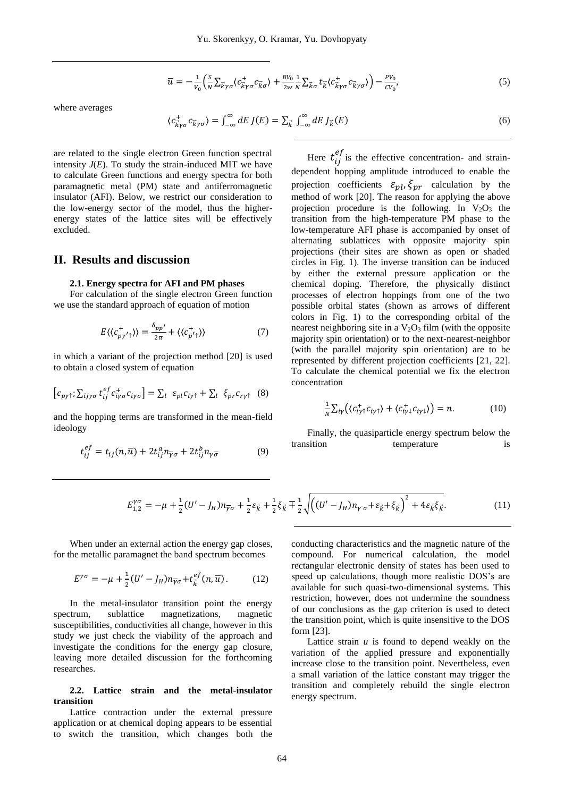$$
\overline{u} = -\frac{1}{v_0} \left( \frac{S}{N} \sum_{\vec{k}\gamma\sigma} \langle c_{\vec{k}\gamma\sigma}^{\dagger} c_{\vec{k}\sigma} \rangle + \frac{BV_0}{2w} \frac{1}{N} \sum_{\vec{k}\sigma} t_{\vec{k}} \langle c_{\vec{k}\gamma\sigma}^{\dagger} c_{\vec{k}\gamma\sigma} \rangle \right) - \frac{PV_0}{CV_0},\tag{5}
$$

where averages

$$
\langle c_{\vec{k}\gamma\sigma}^+ c_{\vec{k}\gamma\sigma}^- \rangle = \int_{-\infty}^{\infty} dE \, J(E) = \sum_{\vec{k}} \int_{-\infty}^{\infty} dE \, J_{\vec{k}}(E) \tag{6}
$$

are related to the single electron Green function spectral intensity  $J(E)$ . To study the strain-induced MIT we have to calculate Green functions and energy spectra for both paramagnetic metal (PM) state and antiferromagnetic insulator (AFI). Below, we restrict our consideration to the low-energy sector of the model, thus the higherenergy states of the lattice sites will be effectively excluded.

## **II. Results and discussion**

#### **2.1. Energy spectra for AFI and PM phases**

For calculation of the single electron Green function we use the standard approach of equation of motion

$$
E\langle\langle c_{p\gamma'\gamma}^{+}\rangle\rangle = \frac{\delta_{pp'}^{}}{2\pi} + \langle\langle c_{p'\gamma}^{+}\rangle\rangle \tag{7}
$$

in which a variant of the projection method [20] is used to obtain a closed system of equation

$$
\left[c_{p\gamma\uparrow};\sum_{ij\gamma\sigma}t_{ij}^{ef}c_{i\gamma\sigma}^{+}c_{i\gamma\sigma}\right]=\sum_{l}\ \varepsilon_{pl}c_{l\gamma\uparrow}+\sum_{l}\ \xi_{pr}c_{r\gamma\uparrow}\ \ (8)
$$

and the hopping terms are transformed in the mean-field ideology

$$
t_{ij}^{ef} = t_{ij}(n,\overline{u}) + 2t_{ij}^a n_{\overline{\gamma}\sigma} + 2t_{ij}^b n_{\gamma\overline{\sigma}} \tag{9}
$$

Here  $t_{ij}^{ef}$  is the effective concentration- and straindependent hopping amplitude introduced to enable the projection coefficients  $\varepsilon_{nl}$ ,  $\xi_{nr}$  calculation by the method of work [20]. The reason for applying the above projection procedure is the following. In  $V_2O_3$  the transition from the high-temperature PM phase to the low-temperature AFI phase is accompanied by onset of alternating sublattices with opposite majority spin projections (their sites are shown as open or shaded circles in Fig. 1). The inverse transition can be induced by either the external pressure application or the chemical doping. Therefore, the physically distinct processes of electron hoppings from one of the two possible orbital states (shown as arrows of different colors in Fig. 1) to the corresponding orbital of the nearest neighboring site in a  $V_2O_3$  film (with the opposite majority spin orientation) or to the next-nearest-neighbor (with the parallel majority spin orientation) are to be represented by different projection coefficients [21, 22]. To calculate the chemical potential we fix the electron concentration

$$
\frac{1}{N}\sum_{i\gamma}\big(\langle c_{i\gamma\uparrow}^+c_{i\gamma\uparrow}\rangle + \langle c_{i\gamma\downarrow}^+c_{i\gamma\downarrow}\rangle\big) = n. \tag{10}
$$

Finally, the quasiparticle energy spectrum below the transition temperature is

$$
E_{1,2}^{\gamma\sigma} = -\mu + \frac{1}{2}(U' - J_H)n_{\overline{\gamma}\sigma} + \frac{1}{2}\varepsilon_{\vec{k}} + \frac{1}{2}\zeta_{\vec{k}} + \frac{1}{2}\sqrt{\left((U' - J_H)n_{\gamma\sigma} + \varepsilon_{\vec{k}} + \zeta_{\vec{k}}\right)^2 + 4\varepsilon_{\vec{k}}\zeta_{\vec{k}}}.
$$
 (11)

When under an external action the energy gap closes, for the metallic paramagnet the band spectrum becomes

$$
E^{\gamma\sigma} = -\mu + \frac{1}{2}(U' - J_H)n_{\overline{\gamma}\sigma} + t_{\overline{k}}^{ef}(n, \overline{u}).
$$
 (12)

In the metal-insulator transition point the energy spectrum, sublattice magnetizations, magnetic susceptibilities, conductivities all change, however in this study we just check the viability of the approach and investigate the conditions for the energy gap closure, leaving more detailed discussion for the forthcoming researches.

#### **2.2. Lattice strain and the metal-insulator transition**

Lattice contraction under the external pressure application or at chemical doping appears to be essential to switch the transition, which changes both the conducting characteristics and the magnetic nature of the compound. For numerical calculation, the model rectangular electronic density of states has been used to speed up calculations, though more realistic DOS's are available for such quasi-two-dimensional systems. This restriction, however, does not undermine the soundness of our conclusions as the gap criterion is used to detect the transition point, which is quite insensitive to the DOS form [23].

Lattice strain  $u$  is found to depend weakly on the variation of the applied pressure and exponentially increase close to the transition point. Nevertheless, even a small variation of the lattice constant may trigger the transition and completely rebuild the single electron energy spectrum.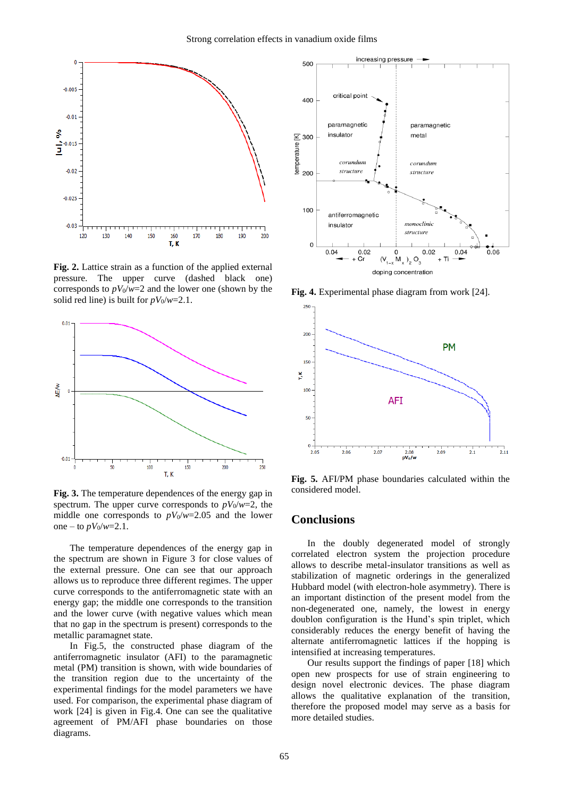

**Fig. 2.** Lattice strain as a function of the applied external pressure. The upper curve (dashed black one) corresponds to  $pV_0/w=2$  and the lower one (shown by the solid red line) is built for  $pV_0/w=2.1$ .



**Fig. 3.** The temperature dependences of the energy gap in spectrum. The upper curve corresponds to  $pV_0/w=2$ , the middle one corresponds to  $pV_0/w=2.05$  and the lower one – to  $pV_0/w=2.1$ .

The temperature dependences of the energy gap in the spectrum are shown in Figure 3 for close values of the external pressure. One can see that our approach allows us to reproduce three different regimes. The upper curve corresponds to the antiferromagnetic state with an energy gap; the middle one corresponds to the transition and the lower curve (with negative values which mean that no gap in the spectrum is present) corresponds to the metallic paramagnet state.

In Fig.5, the constructed phase diagram of the antiferromagnetic insulator (AFI) to the paramagnetic metal (PM) transition is shown, with wide boundaries of the transition region due to the uncertainty of the experimental findings for the model parameters we have used. For comparison, the experimental phase diagram of work [24] is given in Fig.4. One can see the qualitative agreement of PM/AFI phase boundaries on those diagrams.



**Fig. 4.** Experimental phase diagram from work [24].



**Fig. 5.** AFI/PM phase boundaries calculated within the considered model.

#### **Conclusions**

In the doubly degenerated model of strongly correlated electron system the projection procedure allows to describe metal-insulator transitions as well as stabilization of magnetic orderings in the generalized Hubbard model (with electron-hole asymmetry). There is an important distinction of the present model from the non-degenerated one, namely, the lowest in energy doublon configuration is the Hund's spin triplet, which considerably reduces the energy benefit of having the alternate antiferromagnetic lattices if the hopping is intensified at increasing temperatures.

Our results support the findings of paper [18] which open new prospects for use of strain engineering to design novel electronic devices. The phase diagram allows the qualitative explanation of the transition, therefore the proposed model may serve as a basis for more detailed studies.